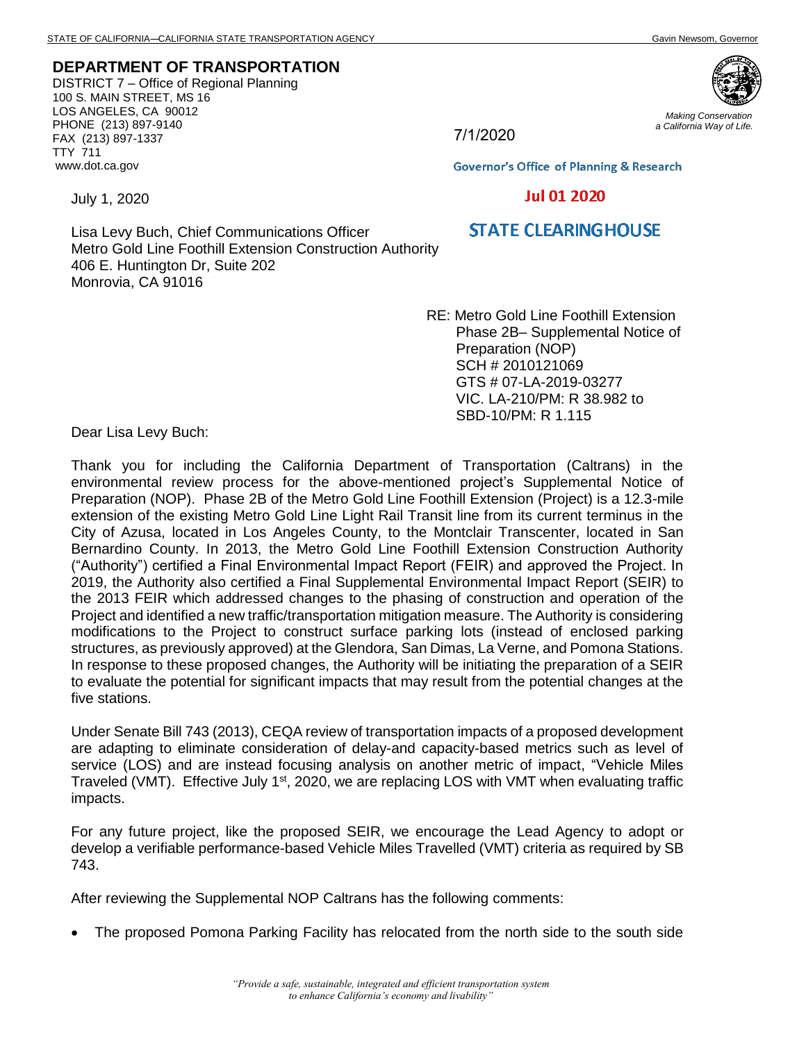## **DEPARTMENT OF TRANSPORTATION**

DISTRICT 7 – Office of Regional Planning 100 S. MAIN STREET, MS 16 LOS ANGELES, CA 90012 PHONE (213) 897-9140 FAX (213) 897-1337 TTY 711 www.dot.ca.gov

*Making Conservation a California Way of Life.*

7/1/2020

**Governor's Office of Planning & Research** 

## **Jul 01 2020**

## **STATE CLEARING HOUSE**

Lisa Levy Buch, Chief Communications Officer Metro Gold Line Foothill Extension Construction Authority 406 E. Huntington Dr, Suite 202 Monrovia, CA 91016

> RE: Metro Gold Line Foothill Extension Phase 2B– Supplemental Notice of Preparation (NOP) SCH # 2010121069 GTS # 07-LA-2019-03277 VIC. LA-210/PM: R 38.982 to SBD-10/PM: R 1.115

Dear Lisa Levy Buch:

July 1, 2020

Thank you for including the California Department of Transportation (Caltrans) in the environmental review process for the above-mentioned project's Supplemental Notice of Preparation (NOP). Phase 2B of the Metro Gold Line Foothill Extension (Project) is a 12.3-mile extension of the existing Metro Gold Line Light Rail Transit line from its current terminus in the City of Azusa, located in Los Angeles County, to the Montclair Transcenter, located in San Bernardino County. In 2013, the Metro Gold Line Foothill Extension Construction Authority ("Authority") certified a Final Environmental Impact Report (FEIR) and approved the Project. In 2019, the Authority also certified a Final Supplemental Environmental Impact Report (SEIR) to the 2013 FEIR which addressed changes to the phasing of construction and operation of the Project and identified a new traffic/transportation mitigation measure. The Authority is considering modifications to the Project to construct surface parking lots (instead of enclosed parking structures, as previously approved) at the Glendora, San Dimas, La Verne, and Pomona Stations. In response to these proposed changes, the Authority will be initiating the preparation of a SEIR to evaluate the potential for significant impacts that may result from the potential changes at the five stations.

Under Senate Bill 743 (2013), CEQA review of transportation impacts of a proposed development are adapting to eliminate consideration of delay-and capacity-based metrics such as level of service (LOS) and are instead focusing analysis on another metric of impact, "Vehicle Miles Traveled (VMT). Effective July 1<sup>st</sup>, 2020, we are replacing LOS with VMT when evaluating traffic impacts.

For any future project, like the proposed SEIR, we encourage the Lead Agency to adopt or develop a verifiable performance-based Vehicle Miles Travelled (VMT) criteria as required by SB 743.

After reviewing the Supplemental NOP Caltrans has the following comments:

• The proposed Pomona Parking Facility has relocated from the north side to the south side